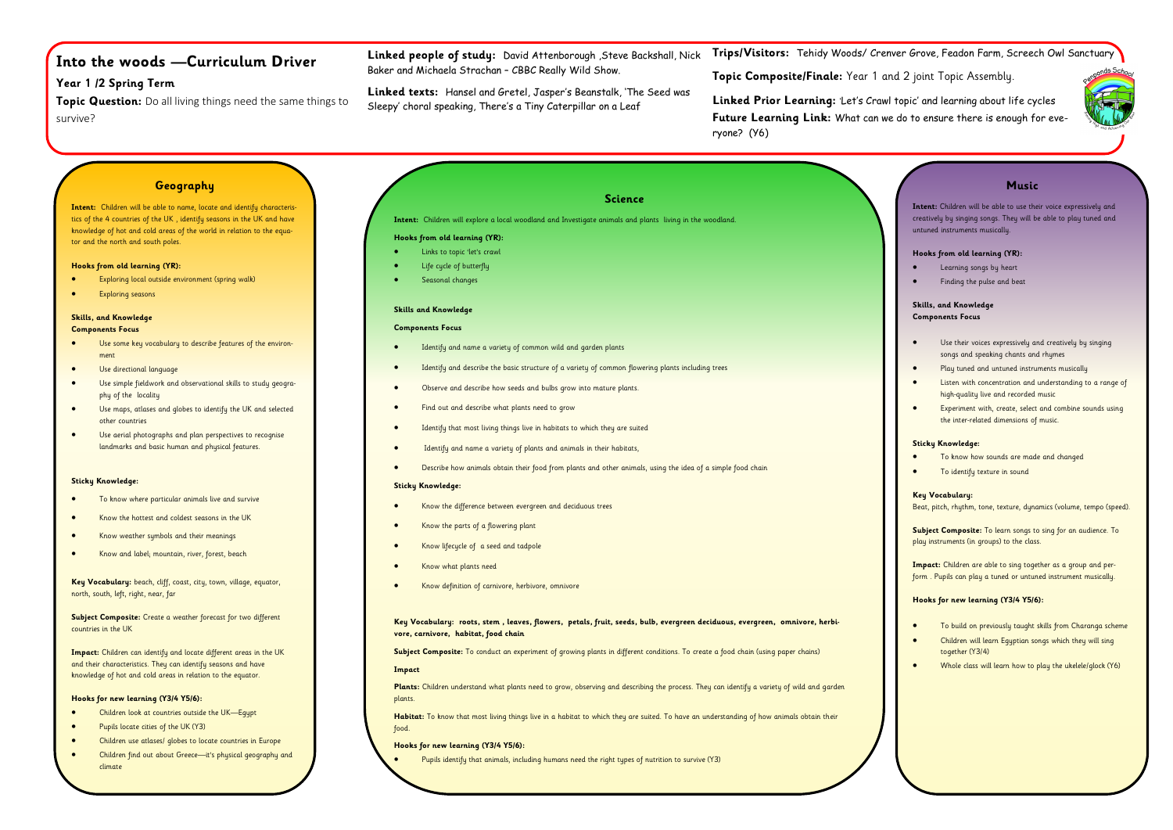# **Into the woods —Curriculum Driver**

# **Year 1 /2 Spring Term**

**Topic Question:** Do all living things need the same things to survive?

**Trips/Visitors:** Tehidy Woods/ Crenver Grove, Feadon Farm, Screech Owl Sanctuary

**Topic Composite/Finale:** Year 1 and 2 joint Topic Assembly.

**Linked Prior Learning:** 'Let's Crawl topic' and learning about life cycles **Future Learning Link:** What can we do to ensure there is enough for everyone? (Y6)

**Linked people of study:** David Attenborough ,Steve Backshall, Nick Baker and Michaela Strachan – CBBC Really Wild Show.

**Linked texts:** Hansel and Gretel, Jasper's Beanstalk, 'The Seed was Sleepy' choral speaking, There's a Tiny Caterpillar on a Leaf

# **Geography**

- Use some key vocabulary to describe features of the environment
- Use directional language
- Use simple fieldwork and observational skills to study geography of the locality
- Use maps, atlases and globes to identify the UK and selected other countries
- Use aerial photographs and plan perspectives to recognise landmarks and basic human and physical features.

**Intent:** Children will be able to name, locate and identify characteristics of the 4 countries of the UK , identify seasons in the UK and have knowledge of hot and cold areas of the world in relation to the equator and the north and south poles.

### **Hooks from old learning (YR):**

- Exploring local outside environment (spring walk)
- Exploring seasons

### **Skills, and Knowledge Components Focus**

### **Sticky Knowledge:**

- Identify and name a variety of common wild and garden plants
- Identify and describe the basic structure of a variety of common flowering plants including trees
- Observe and describe how seeds and bulbs grow into mature plants.
- Find out and describe what plants need to grow
- Identify that most living things live in habitats to which they are suited
- Identify and name a variety of plants and animals in their habitats,
- Describe how animals obtain their food from plants and other animals, using the idea of a simple food chain

- To know where particular animals live and survive
- Know the hottest and coldest seasons in the UK
- Know weather symbols and their meanings
- Know and label; mountain, river, forest, beach

**Key Vocabulary:** beach, cliff, coast, city, town, village, equator, north, south, left, right, near, far

**Subject Composite:** Create a weather forecast for two different countries in the UK

> Plants: Children understand what plants need to grow, observing and describing the process. They can identify a variety of wild and garden plants.

**Impact:** Children can identify and locate different areas in the UK and their characteristics. They can identify seasons and have knowledge of hot and cold areas in relation to the equator.

### **Hooks for new learning (Y3/4 Y5/6):**

- Children look at countries outside the UK—Egypt
- Pupils locate cities of the UK (Y3)
- Children use atlases/ globes to locate countries in Europe
- Children find out about Greece—it's physical geography and climate

# **Science**

**Intent:** Children will explore a local woodland and Investigate animals and plants living in the woodland.

### **Hooks from old learning (YR):**

- Links to topic 'let's crawl
- Life cycle of butterfly
- Seasonal changes

### **Skills and Knowledge**

### **Components Focus**

### **Sticky Knowledge:**

- Know the difference between evergreen and deciduous trees
- Know the parts of a flowering plant
- Know lifecycle of a seed and tadpole
- Know what plants need
- Know definition of carnivore, herbivore, omnivore

**Key Vocabulary: roots, stem , leaves, flowers, petals, fruit, seeds, bulb, evergreen deciduous, evergreen, omnivore, herbivore, carnivore, habitat, food chain**

Subject Composite: To conduct an experiment of growing plants in different conditions. To create a food chain (using paper chains)

### **Impact**

**Habitat:** To know that most living things live in a habitat to which they are suited. To have an understanding of how animals obtain their food.

**Hooks for new learning (Y3/4 Y5/6):**

• Pupils identify that animals, including humans need the right types of nutrition to survive (Y3)



| <b>Music</b>                                                                                                                                                            |
|-------------------------------------------------------------------------------------------------------------------------------------------------------------------------|
| Intent: Children will be able to use their voice expressively and<br>creatively by singing songs. They will be able to play tuned and<br>untuned instruments musically. |
| Hooks from old learning (YR):                                                                                                                                           |
| Learning songs by heart                                                                                                                                                 |
| Finding the pulse and beat                                                                                                                                              |
| Skills, and Knowledge                                                                                                                                                   |
| <b>Components Focus</b>                                                                                                                                                 |
| Use their voices expressively and creatively by singing<br>songs and speaking chants and rhymes                                                                         |
| Play tuned and untuned instruments musically                                                                                                                            |
| Listen with concentration and understanding to a range of<br>high-quality live and recorded music                                                                       |
| Experiment with, create, select and combine sounds using<br>the inter-related dimensions of music.                                                                      |
| <b>Sticky Knowledge:</b>                                                                                                                                                |
| To know how sounds are made and changed                                                                                                                                 |
| To identify texture in sound                                                                                                                                            |
| Key Vocabulary:<br>Beat, pitch, rhythm, tone, texture, dynamics (volume, tempo (speed).                                                                                 |
| <b>Subject Composite:</b> To learn songs to sing for an audience. To<br>play instruments (in groups) to the class.                                                      |
|                                                                                                                                                                         |
| <b>Impact:</b> Children are able to sing together as a group and per-<br>form. Pupils can play a tuned or untuned instrument musically.                                 |
| Hooks for new learning (Y3/4 Y5/6):                                                                                                                                     |
| To build on previously taught skills from Charanga scheme                                                                                                               |
| Children will learn Eqyptian songs which they will sing<br>together (Y3/4)                                                                                              |